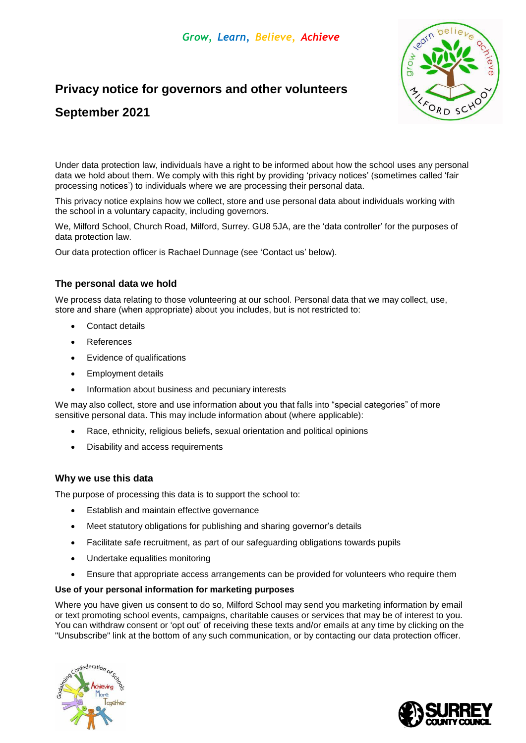# **Privacy notice for governors and other volunteers**



# **September 2021**

Under data protection law, individuals have a right to be informed about how the school uses any personal data we hold about them. We comply with this right by providing 'privacy notices' (sometimes called 'fair processing notices') to individuals where we are processing their personal data.

This privacy notice explains how we collect, store and use personal data about individuals working with the school in a voluntary capacity, including governors.

We, Milford School, Church Road, Milford, Surrey. GU8 5JA, are the 'data controller' for the purposes of data protection law.

Our data protection officer is Rachael Dunnage (see 'Contact us' below).

## **The personal data we hold**

We process data relating to those volunteering at our school. Personal data that we may collect, use, store and share (when appropriate) about you includes, but is not restricted to:

- Contact details
- References
- Evidence of qualifications
- Employment details
- Information about business and pecuniary interests

We may also collect, store and use information about you that falls into "special categories" of more sensitive personal data. This may include information about (where applicable):

- Race, ethnicity, religious beliefs, sexual orientation and political opinions
- Disability and access requirements

#### **Why we use this data**

The purpose of processing this data is to support the school to:

- Establish and maintain effective governance
- Meet statutory obligations for publishing and sharing governor's details
- Facilitate safe recruitment, as part of our safeguarding obligations towards pupils
- Undertake equalities monitoring
- Ensure that appropriate access arrangements can be provided for volunteers who require them

#### **Use of your personal information for marketing purposes**

Where you have given us consent to do so, Milford School may send you marketing information by email or text promoting school events, campaigns, charitable causes or services that may be of interest to you. You can withdraw consent or 'opt out' of receiving these texts and/or emails at any time by clicking on the "Unsubscribe" link at the bottom of any such communication, or by contacting our data protection officer.



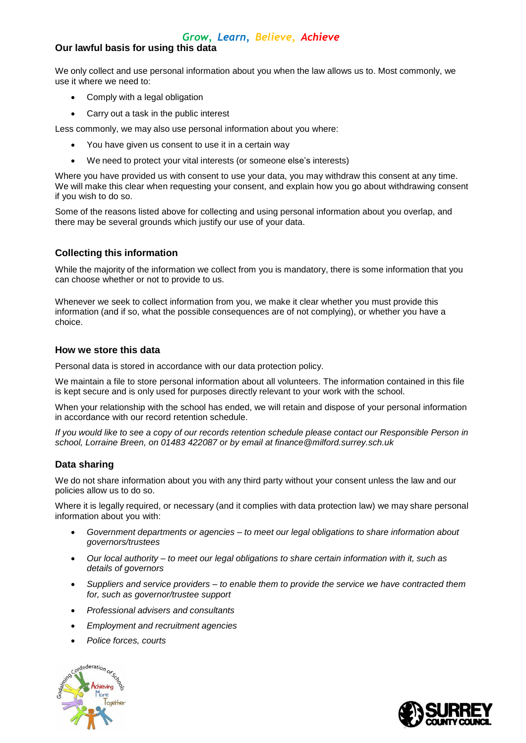# *Grow, Learn, Believe, Achieve*

# **Our lawful basis for using this data**

We only collect and use personal information about you when the law allows us to. Most commonly, we use it where we need to:

- Comply with a legal obligation
- Carry out a task in the public interest

Less commonly, we may also use personal information about you where:

- You have given us consent to use it in a certain way
- We need to protect your vital interests (or someone else's interests)

Where you have provided us with consent to use your data, you may withdraw this consent at any time. We will make this clear when requesting your consent, and explain how you go about withdrawing consent if you wish to do so.

Some of the reasons listed above for collecting and using personal information about you overlap, and there may be several grounds which justify our use of your data.

# **Collecting this information**

While the majority of the information we collect from you is mandatory, there is some information that you can choose whether or not to provide to us.

Whenever we seek to collect information from you, we make it clear whether you must provide this information (and if so, what the possible consequences are of not complying), or whether you have a choice.

## **How we store this data**

Personal data is stored in accordance with our data protection policy.

We maintain a file to store personal information about all volunteers. The information contained in this file is kept secure and is only used for purposes directly relevant to your work with the school.

When your relationship with the school has ended, we will retain and dispose of your personal information in accordance with our record retention schedule.

If you would like to see a copy of our records retention schedule please contact our Responsible Person in *school, Lorraine Breen, on 01483 422087 or by email at [finance@milford.surrey.sch.uk](mailto:finance@milford.surrey.sch.uk)*

## **Data sharing**

We do not share information about you with any third party without your consent unless the law and our policies allow us to do so.

Where it is legally required, or necessary (and it complies with data protection law) we may share personal information about you with:

- *Government departments or agencies – to meet our legal obligations to share information about governors/trustees*
- *Our local authority – to meet our legal obligations to share certain information with it, such as details of governors*
- *Suppliers and service providers – to enable them to provide the service we have contracted them for, such as governor/trustee support*
- *Professional advisers and consultants*
- *Employment and recruitment agencies*
- *Police forces, courts*